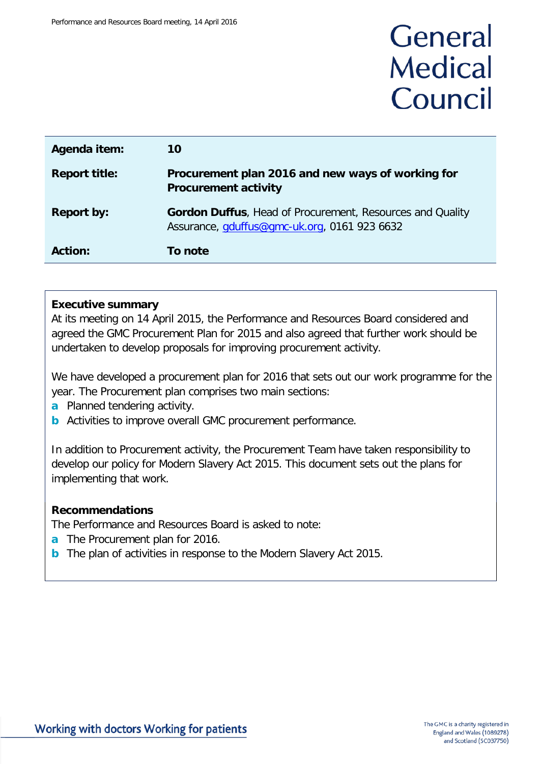# General **Medical** Council

| Agenda item:         | 10                                                                                                               |
|----------------------|------------------------------------------------------------------------------------------------------------------|
| <b>Report title:</b> | Procurement plan 2016 and new ways of working for<br><b>Procurement activity</b>                                 |
| <b>Report by:</b>    | <b>Gordon Duffus, Head of Procurement, Resources and Quality</b><br>Assurance, gduffus@gmc-uk.org, 0161 923 6632 |
| <b>Action:</b>       | To note                                                                                                          |

#### **Executive summary**

At its meeting on 14 April 2015, the Performance and Resources Board considered and agreed the GMC Procurement Plan for 2015 and also agreed that further work should be undertaken to develop proposals for improving procurement activity.

We have developed a procurement plan for 2016 that sets out our work programme for the year. The Procurement plan comprises two main sections:

- **a** Planned tendering activity.
- **b** Activities to improve overall GMC procurement performance.

In addition to Procurement activity, the Procurement Team have taken responsibility to develop our policy for Modern Slavery Act 2015. This document sets out the plans for implementing that work.

#### **Recommendations**

The Performance and Resources Board is asked to note:

- **a** The Procurement plan for 2016.
- **b** The plan of activities in response to the Modern Slavery Act 2015.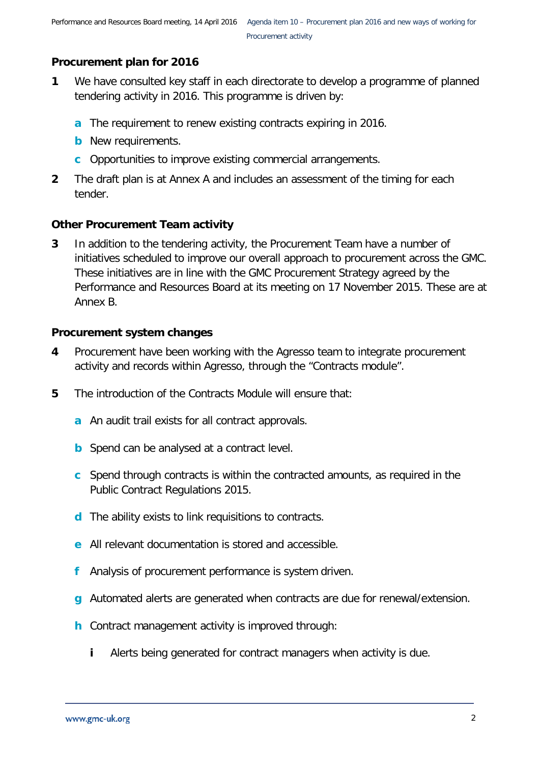### **Procurement plan for 2016**

- **1** We have consulted key staff in each directorate to develop a programme of planned tendering activity in 2016. This programme is driven by:
	- **a** The requirement to renew existing contracts expiring in 2016.
	- **b** New requirements.
	- **c** Opportunities to improve existing commercial arrangements.
- **2** The draft plan is at Annex A and includes an assessment of the timing for each tender.

### **Other Procurement Team activity**

**3** In addition to the tendering activity, the Procurement Team have a number of initiatives scheduled to improve our overall approach to procurement across the GMC. These initiatives are in line with the GMC Procurement Strategy agreed by the Performance and Resources Board at its meeting on 17 November 2015. These are at Annex B.

### **Procurement system changes**

- **4** Procurement have been working with the Agresso team to integrate procurement activity and records within Agresso, through the "Contracts module".
- **5** The introduction of the Contracts Module will ensure that:
	- **a** An audit trail exists for all contract approvals.
	- **b** Spend can be analysed at a contract level.
	- **c** Spend through contracts is within the contracted amounts, as required in the Public Contract Regulations 2015.
	- **d** The ability exists to link requisitions to contracts.
	- **e** All relevant documentation is stored and accessible.
	- **f** Analysis of procurement performance is system driven.
	- **g** Automated alerts are generated when contracts are due for renewal/extension.
	- **h** Contract management activity is improved through:
		- **i** Alerts being generated for contract managers when activity is due.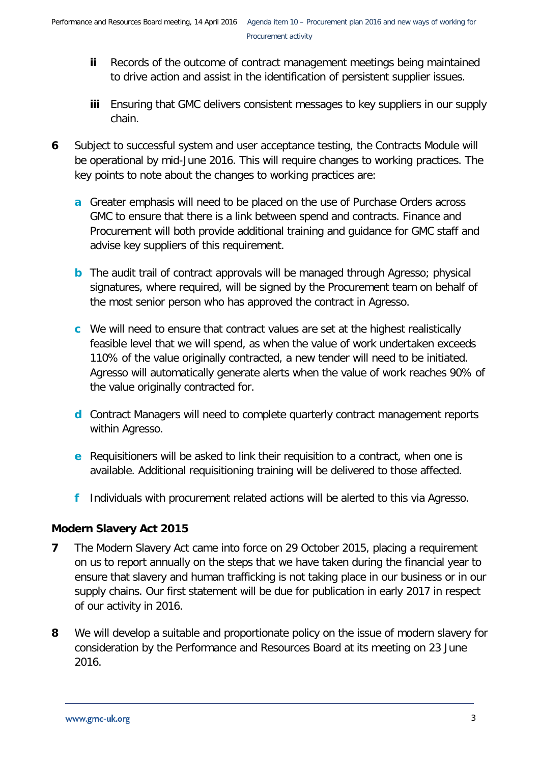- **ii** Records of the outcome of contract management meetings being maintained to drive action and assist in the identification of persistent supplier issues.
- **iii** Ensuring that GMC delivers consistent messages to key suppliers in our supply chain.
- **6** Subject to successful system and user acceptance testing, the Contracts Module will be operational by mid-June 2016. This will require changes to working practices. The key points to note about the changes to working practices are:
	- **a** Greater emphasis will need to be placed on the use of Purchase Orders across GMC to ensure that there is a link between spend and contracts. Finance and Procurement will both provide additional training and guidance for GMC staff and advise key suppliers of this requirement.
	- **b** The audit trail of contract approvals will be managed through Agresso; physical signatures, where required, will be signed by the Procurement team on behalf of the most senior person who has approved the contract in Agresso.
	- **c** We will need to ensure that contract values are set at the highest realistically feasible level that we will spend, as when the value of work undertaken exceeds 110% of the value originally contracted, a new tender will need to be initiated. Agresso will automatically generate alerts when the value of work reaches 90% of the value originally contracted for.
	- **d** Contract Managers will need to complete quarterly contract management reports within Agresso.
	- **e** Requisitioners will be asked to link their requisition to a contract, when one is available. Additional requisitioning training will be delivered to those affected.
	- **f** Individuals with procurement related actions will be alerted to this via Agresso.

### **Modern Slavery Act 2015**

- **7** The Modern Slavery Act came into force on 29 October 2015, placing a requirement on us to report annually on the steps that we have taken during the financial year to ensure that slavery and human trafficking is not taking place in our business or in our supply chains. Our first statement will be due for publication in early 2017 in respect of our activity in 2016.
- **8** We will develop a suitable and proportionate policy on the issue of modern slavery for consideration by the Performance and Resources Board at its meeting on 23 June 2016.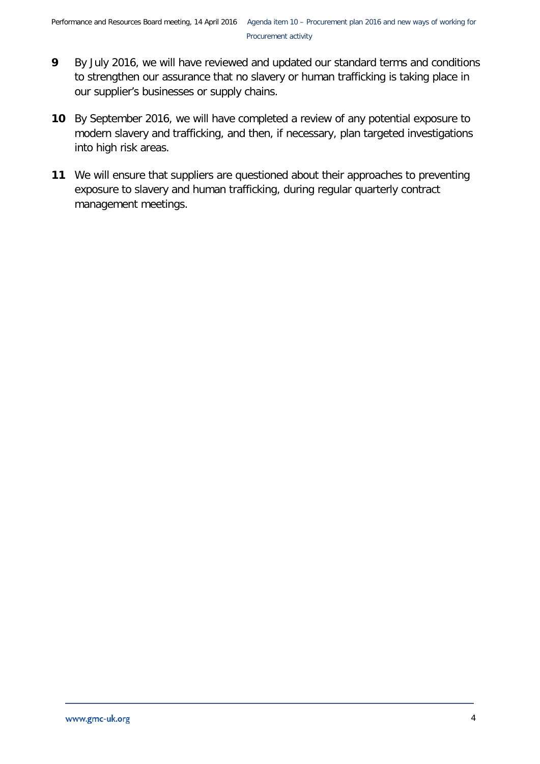- **9** By July 2016, we will have reviewed and updated our standard terms and conditions to strengthen our assurance that no slavery or human trafficking is taking place in our supplier's businesses or supply chains.
- **10** By September 2016, we will have completed a review of any potential exposure to modern slavery and trafficking, and then, if necessary, plan targeted investigations into high risk areas.
- **11** We will ensure that suppliers are questioned about their approaches to preventing exposure to slavery and human trafficking, during regular quarterly contract management meetings.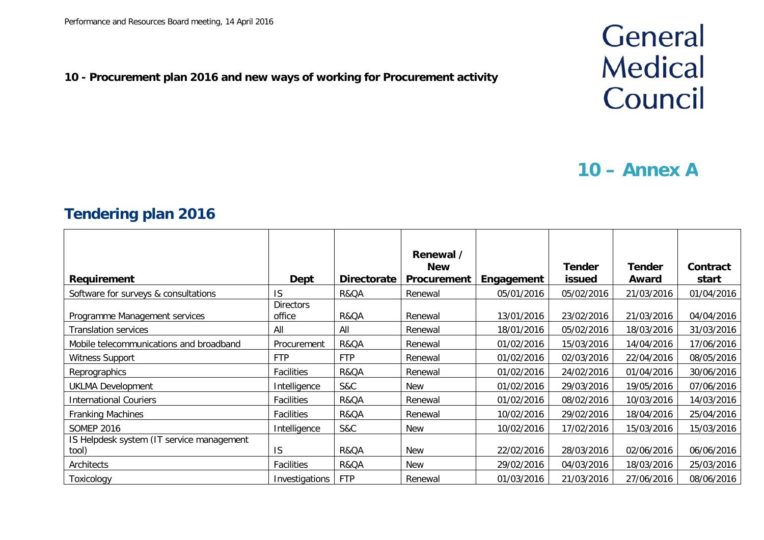### **10 - Procurement plan 2016 and new ways of working for Procurement activity**

## General **Medical** Council

## **10 – Annex A**

### **Tendering plan 2016**

| <b>Requirement</b>                                    | Dept                              | <b>Directorate</b> | Renewal /<br><b>New</b><br>Procurement | Engagement               | <b>Tender</b><br>issued  | Tender<br>Award          | Contract<br>start        |
|-------------------------------------------------------|-----------------------------------|--------------------|----------------------------------------|--------------------------|--------------------------|--------------------------|--------------------------|
| Software for surveys & consultations                  | <b>IS</b>                         | R&QA               | Renewal                                | 05/01/2016               | 05/02/2016               | 21/03/2016               | 01/04/2016               |
| Programme Management services<br>Translation services | <b>Directors</b><br>office<br>All | R&QA<br>All        | Renewal<br>Renewal                     | 13/01/2016<br>18/01/2016 | 23/02/2016<br>05/02/2016 | 21/03/2016<br>18/03/2016 | 04/04/2016<br>31/03/2016 |
| Mobile telecommunications and broadband               | Procurement                       | R&QA               | Renewal                                | 01/02/2016               | 15/03/2016               | 14/04/2016               | 17/06/2016               |
| Witness Support                                       | <b>FTP</b>                        | <b>FTP</b>         | Renewal                                | 01/02/2016               | 02/03/2016               | 22/04/2016               | 08/05/2016               |
| Reprographics                                         | Facilities                        | R&QA               | Renewal                                | 01/02/2016               | 24/02/2016               | 01/04/2016               | 30/06/2016               |
| <b>UKLMA Development</b>                              | Intelligence                      | S&C                | New                                    | 01/02/2016               | 29/03/2016               | 19/05/2016               | 07/06/2016               |
| <b>International Couriers</b>                         | Facilities                        | R&QA               | Renewal                                | 01/02/2016               | 08/02/2016               | 10/03/2016               | 14/03/2016               |
| <b>Franking Machines</b>                              | Facilities                        | R&QA               | Renewal                                | 10/02/2016               | 29/02/2016               | 18/04/2016               | 25/04/2016               |
| <b>SOMEP 2016</b>                                     | Intelligence                      | S&C                | New                                    | 10/02/2016               | 17/02/2016               | 15/03/2016               | 15/03/2016               |
| IS Helpdesk system (IT service management<br>tool)    | <b>IS</b>                         | R&QA               | New                                    | 22/02/2016               | 28/03/2016               | 02/06/2016               | 06/06/2016               |
| Architects                                            | Facilities                        | R&QA               | New                                    | 29/02/2016               | 04/03/2016               | 18/03/2016               | 25/03/2016               |
| Toxicology                                            | Investigations                    | <b>FTP</b>         | Renewal                                | 01/03/2016               | 21/03/2016               | 27/06/2016               | 08/06/2016               |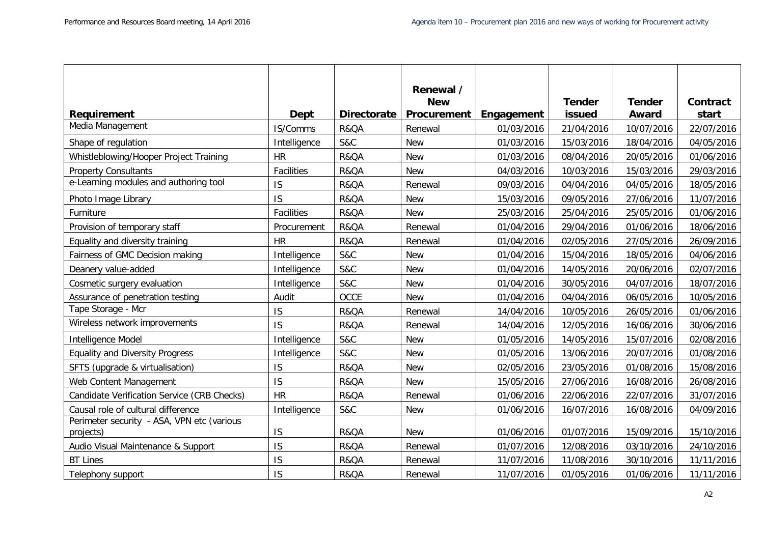|                                                         |              |                    | Renewal /<br><b>New</b> |            | <b>Tender</b> | <b>Tender</b> | Contract   |
|---------------------------------------------------------|--------------|--------------------|-------------------------|------------|---------------|---------------|------------|
| Requirement                                             | <b>Dept</b>  | <b>Directorate</b> | Procurement             | Engagement | issued        | Award         | start      |
| Media Management                                        | IS/Comms     | R&QA               | Renewal                 | 01/03/2016 | 21/04/2016    | 10/07/2016    | 22/07/2016 |
| Shape of regulation                                     | Intelligence | <b>S&amp;C</b>     | <b>New</b>              | 01/03/2016 | 15/03/2016    | 18/04/2016    | 04/05/2016 |
| Whistleblowing/Hooper Project Training                  | <b>HR</b>    | R&QA               | <b>New</b>              | 01/03/2016 | 08/04/2016    | 20/05/2016    | 01/06/2016 |
| <b>Property Consultants</b>                             | Facilities   | R&QA               | <b>New</b>              | 04/03/2016 | 10/03/2016    | 15/03/2016    | 29/03/2016 |
| e-Learning modules and authoring tool                   | IS           | R&QA               | Renewal                 | 09/03/2016 | 04/04/2016    | 04/05/2016    | 18/05/2016 |
| Photo Image Library                                     | IS           | R&QA               | <b>New</b>              | 15/03/2016 | 09/05/2016    | 27/06/2016    | 11/07/2016 |
| Furniture                                               | Facilities   | R&QA               | <b>New</b>              | 25/03/2016 | 25/04/2016    | 25/05/2016    | 01/06/2016 |
| Provision of temporary staff                            | Procurement  | R&QA               | Renewal                 | 01/04/2016 | 29/04/2016    | 01/06/2016    | 18/06/2016 |
| Equality and diversity training                         | <b>HR</b>    | R&QA               | Renewal                 | 01/04/2016 | 02/05/2016    | 27/05/2016    | 26/09/2016 |
| Fairness of GMC Decision making                         | Intelligence | <b>S&amp;C</b>     | <b>New</b>              | 01/04/2016 | 15/04/2016    | 18/05/2016    | 04/06/2016 |
| Deanery value-added                                     | Intelligence | <b>S&amp;C</b>     | <b>New</b>              | 01/04/2016 | 14/05/2016    | 20/06/2016    | 02/07/2016 |
| Cosmetic surgery evaluation                             | Intelligence | <b>S&amp;C</b>     | <b>New</b>              | 01/04/2016 | 30/05/2016    | 04/07/2016    | 18/07/2016 |
| Assurance of penetration testing                        | Audit        | <b>OCCE</b>        | <b>New</b>              | 01/04/2016 | 04/04/2016    | 06/05/2016    | 10/05/2016 |
| Tape Storage - Mcr                                      | IS           | R&QA               | Renewal                 | 14/04/2016 | 10/05/2016    | 26/05/2016    | 01/06/2016 |
| Wireless network improvements                           | IS           | R&QA               | Renewal                 | 14/04/2016 | 12/05/2016    | 16/06/2016    | 30/06/2016 |
| Intelligence Model                                      | Intelligence | <b>S&amp;C</b>     | <b>New</b>              | 01/05/2016 | 14/05/2016    | 15/07/2016    | 02/08/2016 |
| <b>Equality and Diversity Progress</b>                  | Intelligence | <b>S&amp;C</b>     | <b>New</b>              | 01/05/2016 | 13/06/2016    | 20/07/2016    | 01/08/2016 |
| SFTS (upgrade & virtualisation)                         | IS           | R&QA               | <b>New</b>              | 02/05/2016 | 23/05/2016    | 01/08/2016    | 15/08/2016 |
| Web Content Management                                  | IS           | R&QA               | <b>New</b>              | 15/05/2016 | 27/06/2016    | 16/08/2016    | 26/08/2016 |
| Candidate Verification Service (CRB Checks)             | <b>HR</b>    | R&QA               | Renewal                 | 01/06/2016 | 22/06/2016    | 22/07/2016    | 31/07/2016 |
| Causal role of cultural difference                      | Intelligence | <b>S&amp;C</b>     | <b>New</b>              | 01/06/2016 | 16/07/2016    | 16/08/2016    | 04/09/2016 |
| Perimeter security - ASA, VPN etc (various<br>projects) | IS           | R&QA               | <b>New</b>              | 01/06/2016 | 01/07/2016    | 15/09/2016    | 15/10/2016 |
| Audio Visual Maintenance & Support                      | IS           | R&QA               | Renewal                 | 01/07/2016 | 12/08/2016    | 03/10/2016    | 24/10/2016 |
| <b>BT Lines</b>                                         | IS           | R&QA               | Renewal                 | 11/07/2016 | 11/08/2016    | 30/10/2016    | 11/11/2016 |
| Telephony support                                       | IS           | R&QA               | Renewal                 | 11/07/2016 | 01/05/2016    | 01/06/2016    | 11/11/2016 |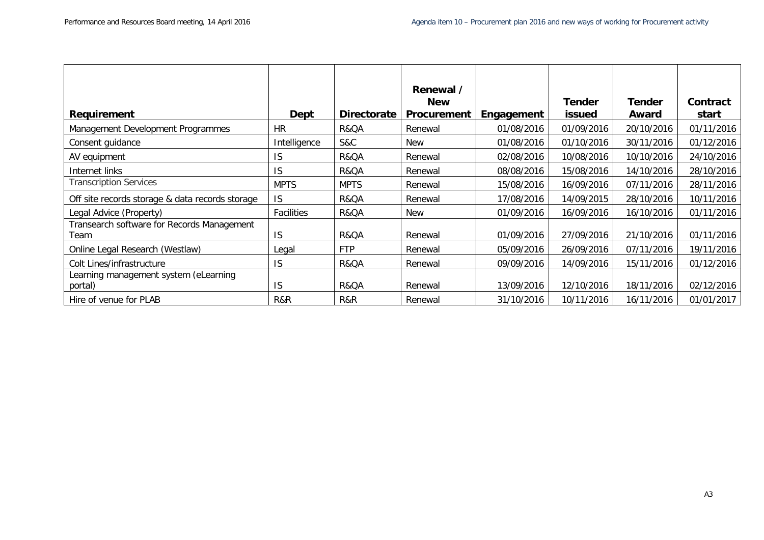|                                                    |              |                    | Renewal /                        |            |                                |                 |                          |
|----------------------------------------------------|--------------|--------------------|----------------------------------|------------|--------------------------------|-----------------|--------------------------|
| <b>Requirement</b>                                 | Dept         | <b>Directorate</b> | <b>New</b><br><b>Procurement</b> | Engagement | <b>Tender</b><br><b>issued</b> | Tender<br>Award | <b>Contract</b><br>start |
| Management Development Programmes                  | <b>HR</b>    | R&QA               | Renewal                          | 01/08/2016 | 01/09/2016                     | 20/10/2016      | 01/11/2016               |
| Consent guidance                                   | Intelligence | S&C                | <b>New</b>                       | 01/08/2016 | 01/10/2016                     | 30/11/2016      | 01/12/2016               |
| AV equipment                                       | IS           | R&QA               | Renewal                          | 02/08/2016 | 10/08/2016                     | 10/10/2016      | 24/10/2016               |
| Internet links                                     | IS           | R&QA               | Renewal                          | 08/08/2016 | 15/08/2016                     | 14/10/2016      | 28/10/2016               |
| <b>Transcription Services</b>                      | <b>MPTS</b>  | <b>MPTS</b>        | Renewal                          | 15/08/2016 | 16/09/2016                     | 07/11/2016      | 28/11/2016               |
| Off site records storage & data records storage    | IS           | R&QA               | Renewal                          | 17/08/2016 | 14/09/2015                     | 28/10/2016      | 10/11/2016               |
| Legal Advice (Property)                            | Facilities   | R&QA               | New                              | 01/09/2016 | 16/09/2016                     | 16/10/2016      | 01/11/2016               |
| Transearch software for Records Management<br>Team | IS           | R&QA               | Renewal                          | 01/09/2016 | 27/09/2016                     | 21/10/2016      | 01/11/2016               |
| Online Legal Research (Westlaw)                    | Legal        | <b>FTP</b>         | Renewal                          | 05/09/2016 | 26/09/2016                     | 07/11/2016      | 19/11/2016               |
| Colt Lines/infrastructure                          | IS           | R&QA               | Renewal                          | 09/09/2016 | 14/09/2016                     | 15/11/2016      | 01/12/2016               |
| Learning management system (eLearning<br>portal)   | IS           | R&QA               | Renewal                          | 13/09/2016 | 12/10/2016                     | 18/11/2016      | 02/12/2016               |
| Hire of venue for PLAB                             | R&R          | R&R                | Renewal                          | 31/10/2016 | 10/11/2016                     | 16/11/2016      | 01/01/2017               |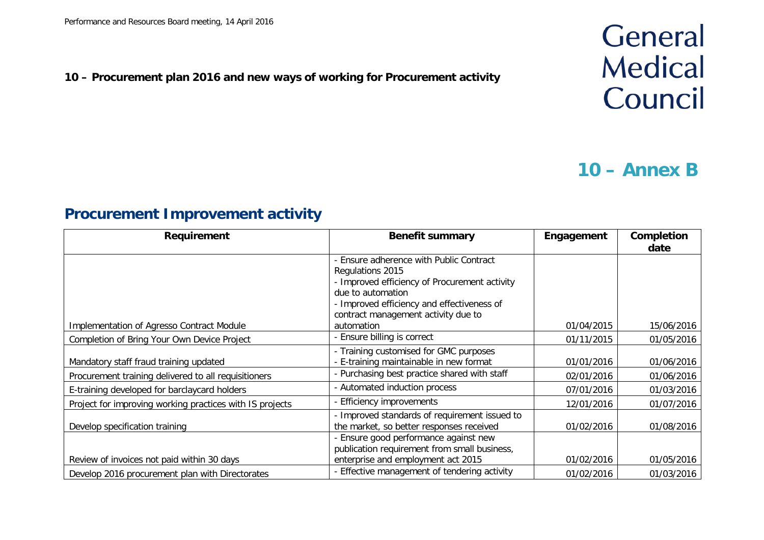### **10 – Procurement plan 2016 and new ways of working for Procurement activity**

## General **Medical** Council

### **10 – Annex B**

### **Procurement Improvement activity**

| Requirement                                              | <b>Benefit summary</b>                        | Engagement | Completion<br>date |
|----------------------------------------------------------|-----------------------------------------------|------------|--------------------|
|                                                          | Ensure adherence with Public Contract         |            |                    |
|                                                          | Regulations 2015                              |            |                    |
|                                                          | - Improved efficiency of Procurement activity |            |                    |
|                                                          | due to automation                             |            |                    |
|                                                          | - Improved efficiency and effectiveness of    |            |                    |
|                                                          | contract management activity due to           |            |                    |
| Implementation of Agresso Contract Module                | automation                                    | 01/04/2015 | 15/06/2016         |
| Completion of Bring Your Own Device Project              | Ensure billing is correct                     | 01/11/2015 | 01/05/2016         |
|                                                          | - Training customised for GMC purposes        |            |                    |
| Mandatory staff fraud training updated                   | - E-training maintainable in new format       | 01/01/2016 | 01/06/2016         |
| Procurement training delivered to all requisitioners     | - Purchasing best practice shared with staff  | 02/01/2016 | 01/06/2016         |
| E-training developed for barclaycard holders             | - Automated induction process                 | 07/01/2016 | 01/03/2016         |
| Project for improving working practices with IS projects | <b>Efficiency improvements</b>                | 12/01/2016 | 01/07/2016         |
|                                                          | - Improved standards of requirement issued to |            |                    |
| Develop specification training                           | the market, so better responses received      | 01/02/2016 | 01/08/2016         |
|                                                          | Ensure good performance against new           |            |                    |
|                                                          | publication requirement from small business,  |            |                    |
| Review of invoices not paid within 30 days               | enterprise and employment act 2015            | 01/02/2016 | 01/05/2016         |
| Develop 2016 procurement plan with Directorates          | - Effective management of tendering activity  | 01/02/2016 | 01/03/2016         |